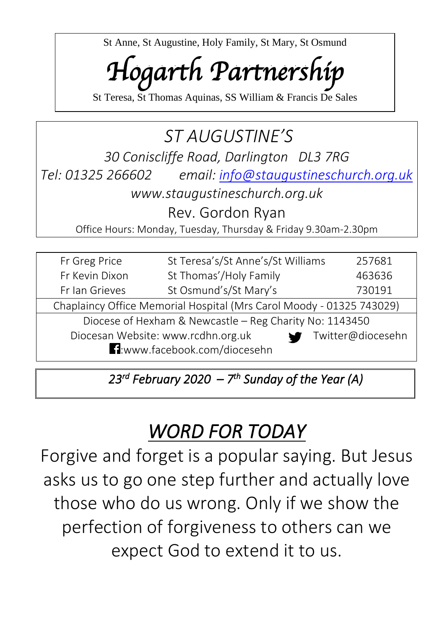St Anne, St Augustine, Holy Family, St Mary, St Osmund

# *Hogarth Partnership*

St Teresa, St Thomas Aquinas, SS William & Francis De Sales

*ST AUGUSTINE'S 30 Coniscliffe Road, Darlington DL3 7RG Tel: 01325 266602 email: [info@staugustineschurch.org.uk](mailto:info@staugustineschurch.org.uk) www.staugustineschurch.org.uk* Rev. Gordon Ryan

Office Hours: Monday, Tuesday, Thursday & Friday 9.30am-2.30pm

| Fr Greg Price                                                        | St Teresa's/St Anne's/St Williams |        |  |  |
|----------------------------------------------------------------------|-----------------------------------|--------|--|--|
| Fr Kevin Dixon                                                       | St Thomas'/Holy Family            | 463636 |  |  |
| Fr Ian Grieves                                                       | St Osmund's/St Mary's             | 730191 |  |  |
| Chaplaincy Office Memorial Hospital (Mrs Carol Moody - 01325 743029) |                                   |        |  |  |
| Diocese of Hexham & Newcastle - Reg Charity No: 1143450              |                                   |        |  |  |
| Diocesan Website: www.rcdhn.org.uk<br>Twitter@diocesehn<br>v         |                                   |        |  |  |
| 1:www.facebook.com/diocesehn                                         |                                   |        |  |  |

 *23rd February 2020 – 7 th Sunday of the Year (A)* 

# *WORD FOR TODAY*

Forgive and forget is a popular saying. But Jesus asks us to go one step further and actually love those who do us wrong. Only if we show the perfection of forgiveness to others can we expect God to extend it to us.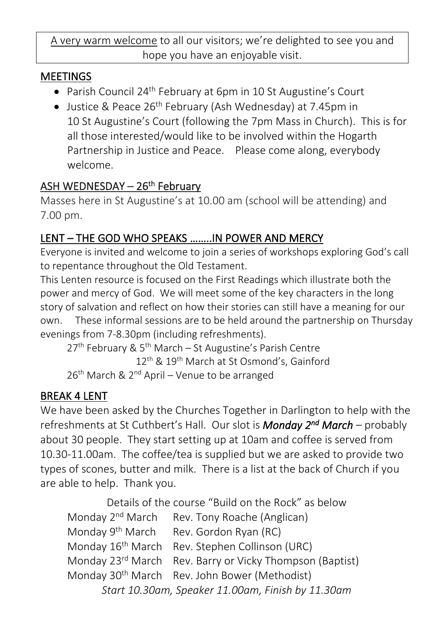A very warm welcome to all our visitors; we're delighted to see you and hope you have an enjoyable visit.

#### **MEETINGS**

- Parish Council 24th February at 6pm in 10 St Augustine's Court
- Justice & Peace 26<sup>th</sup> February (Ash Wednesday) at 7.45pm in 10 St Augustine's Court (following the 7pm Mass in Church). This is for all those interested/would like to be involved within the Hogarth Partnership in Justice and Peace. Please come along, everybody welcome.

#### ASH WEDNESDAY - 26<sup>th</sup> February

Masses here in St Augustine's at 10.00 am (school will be attending) and 7.00 pm.

# LENT – THE GOD WHO SPEAKS ……..IN POWER AND MERCY

Everyone is invited and welcome to join a series of workshops exploring God's call to repentance throughout the Old Testament.

This Lenten resource is focused on the First Readings which illustrate both the power and mercy of God. We will meet some of the key characters in the long story of salvation and reflect on how their stories can still have a meaning for our own. These informal sessions are to be held around the partnership on Thursday evenings from 7-8.30pm (including refreshments).

 $27<sup>th</sup>$  February & 5<sup>th</sup> March – St Augustine's Parish Centre 12<sup>th</sup> & 19<sup>th</sup> March at St Osmond's, Gainford  $26<sup>th</sup>$  March &  $2<sup>nd</sup>$  April – Venue to be arranged

# BREAK 4 LENT

We have been asked by the Churches Together in Darlington to help with the refreshments at St Cuthbert's Hall. Our slot is *Monday 2 nd March* – probably about 30 people. They start setting up at 10am and coffee is served from 10.30-11.00am. The coffee/tea is supplied but we are asked to provide two types of scones, butter and milk. There is a list at the back of Church if you are able to help. Thank you.

Details of the course "Build on the Rock" as below Monday 2<sup>nd</sup> March Rev. Tony Roache (Anglican) Monday 9<sup>th</sup> March Rev. Gordon Ryan (RC) Monday 16th March Rev. Stephen Collinson (URC) Monday 23<sup>rd</sup> March Rev. Barry or Vicky Thompson (Baptist) Monday 30<sup>th</sup> March Rev. John Bower (Methodist) *Start 10.30am, Speaker 11.00am, Finish by 11.30am*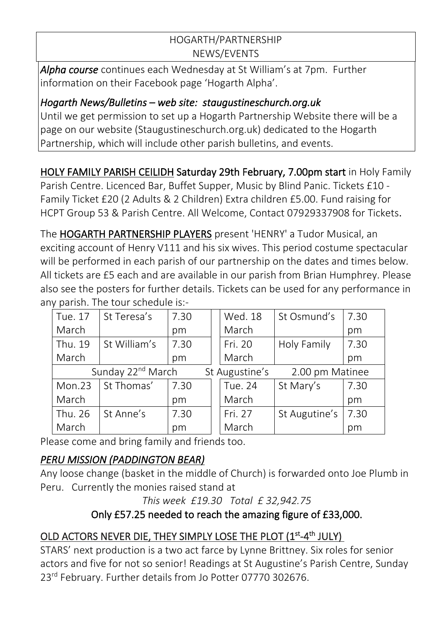#### HOGARTH/PARTNERSHIP NEWS/EVENTS

*Alpha course* continues each Wednesday at St William's at 7pm. Further information on their Facebook page 'Hogarth Alpha'.

#### *Hogarth News/Bulletins – web site: staugustineschurch.org.uk*

Until we get permission to set up a Hogarth Partnership Website there will be a page on our website (Staugustineschurch.org.uk) dedicated to the Hogarth Partnership, which will include other parish bulletins, and events.

HOLY FAMILY PARISH CEILIDH Saturday 29th February, 7.00pm start in Holy Family Parish Centre. Licenced Bar, Buffet Supper, Music by Blind Panic. Tickets £10 - Family Ticket £20 (2 Adults & 2 Children) Extra children £5.00. Fund raising for HCPT Group 53 & Parish Centre. All Welcome, Contact 07929337908 for Tickets.

The HOGARTH PARTNERSHIP PLAYERS present 'HENRY' a Tudor Musical, an exciting account of Henry V111 and his six wives. This period costume spectacular will be performed in each parish of our partnership on the dates and times below. All tickets are £5 each and are available in our parish from Brian Humphrey. Please also see the posters for further details. Tickets can be used for any performance in any parish. The tour schedule is:-

| Tue. 17 | St Teresa's                   | 7.30 | <b>Wed. 18</b> | St Osmund's     | 7.30 |
|---------|-------------------------------|------|----------------|-----------------|------|
| March   |                               | pm   | March          |                 | pm   |
| Thu. 19 | St William's                  | 7.30 | Fri. 20        | Holy Family     | 7.30 |
| March   |                               | pm   | March          |                 | pm   |
|         | Sunday 22 <sup>nd</sup> March |      | St Augustine's | 2.00 pm Matinee |      |
| Mon.23  | St Thomas'                    | 7.30 | Tue. 24        | St Mary's       | 7.30 |
| March   |                               | pm   | March          |                 | pm   |
| Thu. 26 | St Anne's                     | 7.30 | Fri. 27        | St Augutine's   | 7.30 |
| March   |                               | pm   | March          |                 | pm   |

Please come and bring family and friends too.

#### *PERU MISSION (PADDINGTON BEAR)*

Any loose change (basket in the middle of Church) is forwarded onto Joe Plumb in Peru. Currently the monies raised stand at

*This week £19.30 Total £ 32,942.75*

# Only £57.25 needed to reach the amazing figure of £33,000.

# OLD ACTORS NEVER DIE, THEY SIMPLY LOSE THE PLOT (1st-4th JULY)

STARS' next production is a two act farce by Lynne Brittney. Six roles for senior actors and five for not so senior! Readings at St Augustine's Parish Centre, Sunday 23<sup>rd</sup> February. Further details from Jo Potter 07770 302676.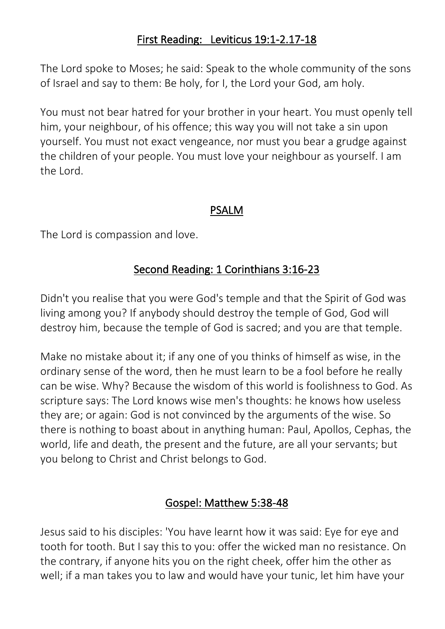#### First Reading: Leviticus 19:1-2.17-18

The Lord spoke to Moses; he said: Speak to the whole community of the sons of Israel and say to them: Be holy, for I, the Lord your God, am holy.

You must not bear hatred for your brother in your heart. You must openly tell him, your neighbour, of his offence; this way you will not take a sin upon yourself. You must not exact vengeance, nor must you bear a grudge against the children of your people. You must love your neighbour as yourself. I am the Lord.

#### PSALM

The Lord is compassion and love.

#### Second Reading: 1 Corinthians 3:16-23

Didn't you realise that you were God's temple and that the Spirit of God was living among you? If anybody should destroy the temple of God, God will destroy him, because the temple of God is sacred; and you are that temple.

Make no mistake about it; if any one of you thinks of himself as wise, in the ordinary sense of the word, then he must learn to be a fool before he really can be wise. Why? Because the wisdom of this world is foolishness to God. As scripture says: The Lord knows wise men's thoughts: he knows how useless they are; or again: God is not convinced by the arguments of the wise. So there is nothing to boast about in anything human: Paul, Apollos, Cephas, the world, life and death, the present and the future, are all your servants; but you belong to Christ and Christ belongs to God.

#### Gospel: Matthew 5:38-48

Jesus said to his disciples: 'You have learnt how it was said: Eye for eye and tooth for tooth. But I say this to you: offer the wicked man no resistance. On the contrary, if anyone hits you on the right cheek, offer him the other as well; if a man takes you to law and would have your tunic, let him have your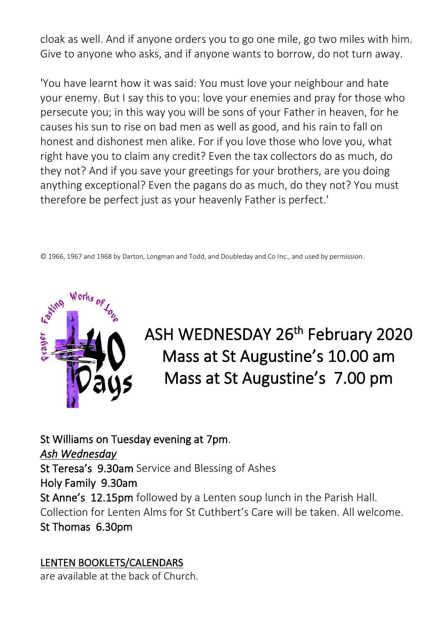cloak as well. And if anyone orders you to go one mile, go two miles with him. Give to anyone who asks, and if anyone wants to borrow, do not turn away.

'You have learnt how it was said: You must love your neighbour and hate your enemy. But I say this to you: love your enemies and pray for those who persecute you; in this way you will be sons of your Father in heaven, for he causes his sun to rise on bad men as well as good, and his rain to fall on honest and dishonest men alike. For if you love those who love you, what right have you to claim any credit? Even the tax collectors do as much, do they not? And if you save your greetings for your brothers, are you doing anything exceptional? Even the pagans do as much, do they not? You must therefore be perfect just as your heavenly Father is perfect.'

© 1966, 1967 and 1968 by Darton, Longman and Todd, and Doubleday and Co Inc., and used by permission.



# ASH WEDNESDAY 26<sup>th</sup> February 2020 Mass at St Augustine's 10.00 am Mass at St Augustine's 7.00 pm

St Williams on Tuesday evening at 7pm. *Ash Wednesday*  St Teresa's 9.30am Service and Blessing of Ashes Holy Family 9.30am St Anne's 12.15pm followed by a Lenten soup lunch in the Parish Hall. Collection for Lenten Alms for St Cuthbert's Care will be taken. All welcome. St Thomas 6.30pm

#### LENTEN BOOKLETS/CALENDARS

are available at the back of Church.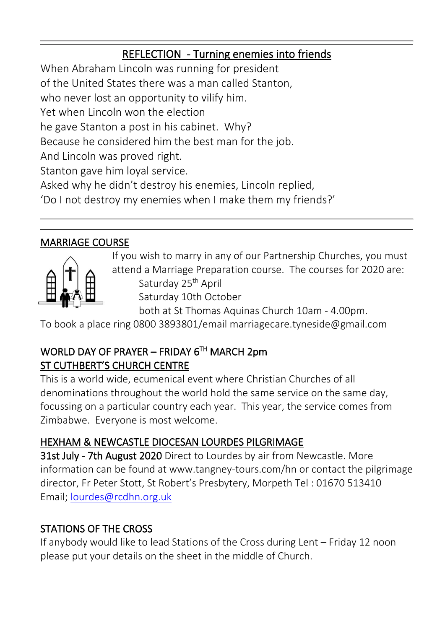# REFLECTION - Turning enemies into friends

 $\overline{\phantom{a}}$ 

When Abraham Lincoln was running for president

of the United States there was a man called Stanton,

who never lost an opportunity to vilify him.

Yet when Lincoln won the election

he gave Stanton a post in his cabinet. Why?

Because he considered him the best man for the job.

And Lincoln was proved right.

Stanton gave him loyal service.

Asked why he didn't destroy his enemies, Lincoln replied,

'Do I not destroy my enemies when I make them my friends?'

#### MARRIAGE COURSE



-

If you wish to marry in any of our Partnership Churches, you must attend a Marriage Preparation course. The courses for 2020 are: Saturday 25<sup>th</sup> April Saturday 10th October

both at St Thomas Aquinas Church 10am - 4.00pm.

To book a place ring 0800 3893801/email marriagecare.tyneside@gmail.com

# WORLD DAY OF PRAYER - FRIDAY 6TH MARCH 2pm

#### ST CUTHBERT'S CHURCH CENTRE

This is a world wide, ecumenical event where Christian Churches of all denominations throughout the world hold the same service on the same day, focussing on a particular country each year. This year, the service comes from Zimbabwe. Everyone is most welcome.

#### HEXHAM & NEWCASTLE DIOCESAN LOURDES PILGRIMAGE

31st July - 7th August 2020 Direct to Lourdes by air from Newcastle. More information can be found at www.tangney-tours.com/hn or contact the pilgrimage director, Fr Peter Stott, St Robert's Presbytery, Morpeth Tel : 01670 513410 Email; [lourdes@rcdhn.org.uk](mailto:lourdes@rcdhn.org.uk)

#### STATIONS OF THE CROSS

If anybody would like to lead Stations of the Cross during Lent – Friday 12 noon please put your details on the sheet in the middle of Church.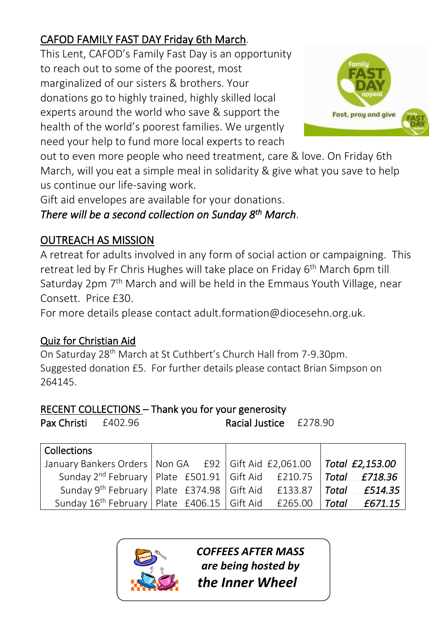# CAFOD FAMILY FAST DAY Friday 6th March.

This Lent, CAFOD's Family Fast Day is an opportunity to reach out to some of the poorest, most marginalized of our sisters & brothers. Your donations go to highly trained, highly skilled local experts around the world who save & support the health of the world's poorest families. We urgently need your help to fund more local experts to reach



out to even more people who need treatment, care & love. On Friday 6th March, will you eat a simple meal in solidarity & give what you save to help us continue our life-saving work.

Gift aid envelopes are available for your donations.

*There will be a second collection on Sunday 8th March*.

# OUTREACH AS MISSION

A retreat for adults involved in any form of social action or campaigning. This retreat led by Fr Chris Hughes will take place on Friday 6<sup>th</sup> March 6pm till Saturday 2pm 7th March and will be held in the Emmaus Youth Village, near Consett. Price £30.

For more details please contact adult.formation@diocesehn.org.uk.

#### Quiz for Christian Aid

On Saturday 28<sup>th</sup> March at St Cuthbert's Church Hall from 7-9.30pm. Suggested donation £5. For further details please contact Brian Simpson on 264145.

# RECENT COLLECTIONS – Thank you for your generosity

| Pax Christi £402.96 |  | Racial Justice £278.90 |  |
|---------------------|--|------------------------|--|
|                     |  |                        |  |

| <b>Collections</b>                                                                 |  |  |                       |
|------------------------------------------------------------------------------------|--|--|-----------------------|
| January Bankers Orders   Non GA $\pm$ 92   Gift Aid £2,061.00   Total £2,153.00    |  |  |                       |
| Sunday 2 <sup>nd</sup> February   Plate £501.91   Gift Aid £210.75   Total £718.36 |  |  |                       |
| Sunday 9 <sup>th</sup> February   Plate £374.98   Gift Aid £133.87   Total £514.35 |  |  |                       |
| Sunday $16^{th}$ February   Plate £406.15   Gift Aid £265.00                       |  |  | $\vert$ Total £671.15 |



 *COFFEES AFTER MASS are being hosted by the Inner Wheel*